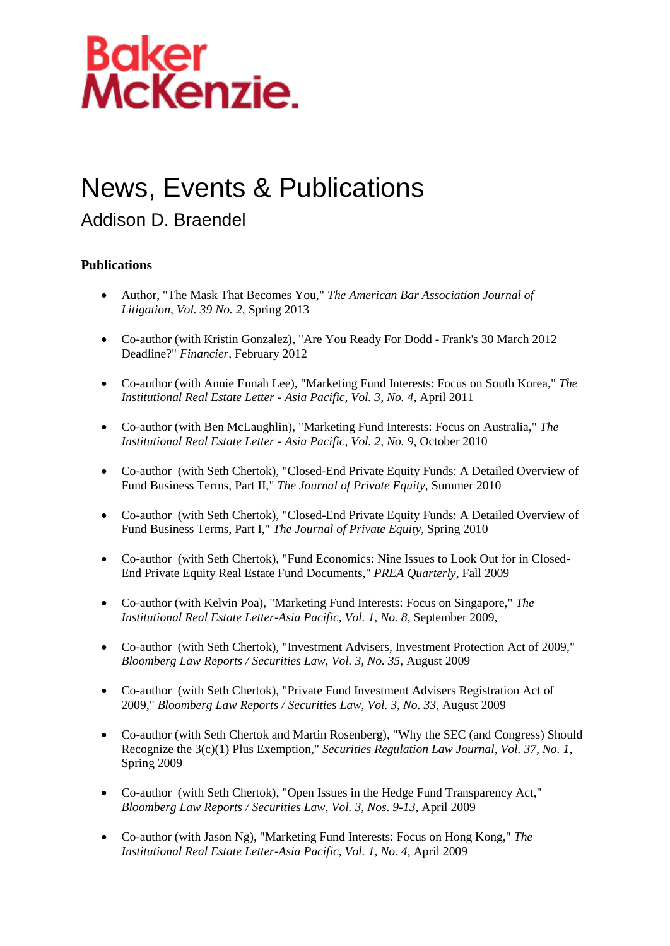

### News, Events & Publications

### Addison D. Braendel

#### **Publications**

- Author, "The Mask That Becomes You," *The American Bar Association Journal of Litigation, Vol. 39 No. 2*, Spring 2013
- Co-author (with Kristin Gonzalez), "Are You Ready For Dodd Frank's 30 March 2012 Deadline?" *Financier*, February 2012
- Co-author (with Annie Eunah Lee), "Marketing Fund Interests: Focus on South Korea," *The Institutional Real Estate Letter - Asia Pacific, Vol. 3, No. 4*, April 2011
- Co-author (with Ben McLaughlin), "Marketing Fund Interests: Focus on Australia," *The Institutional Real Estate Letter - Asia Pacific, Vol. 2, No. 9*, October 2010
- Co-author (with Seth Chertok), "Closed-End Private Equity Funds: A Detailed Overview of Fund Business Terms, Part II," *The Journal of Private Equity*, Summer 2010
- Co-author (with Seth Chertok), "Closed-End Private Equity Funds: A Detailed Overview of Fund Business Terms, Part I," *The Journal of Private Equity*, Spring 2010
- Co-author (with Seth Chertok), "Fund Economics: Nine Issues to Look Out for in Closed-End Private Equity Real Estate Fund Documents," *PREA Quarterly*, Fall 2009
- Co-author (with Kelvin Poa), "Marketing Fund Interests: Focus on Singapore," *The Institutional Real Estate Letter-Asia Pacific, Vol. 1, No. 8*, September 2009,
- Co-author (with Seth Chertok), "Investment Advisers, Investment Protection Act of 2009," *Bloomberg Law Reports / Securities Law, Vol. 3, No. 35*, August 2009
- Co-author (with Seth Chertok), "Private Fund Investment Advisers Registration Act of 2009," *Bloomberg Law Reports / Securities Law, Vol. 3, No. 33*, August 2009
- Co-author (with Seth Chertok and Martin Rosenberg), "Why the SEC (and Congress) Should Recognize the 3(c)(1) Plus Exemption," *Securities Regulation Law Journal, Vol. 37, No. 1*, Spring 2009
- Co-author (with Seth Chertok), "Open Issues in the Hedge Fund Transparency Act," *Bloomberg Law Reports / Securities Law, Vol. 3, Nos. 9-13*, April 2009
- Co-author (with Jason Ng), "Marketing Fund Interests: Focus on Hong Kong," *The Institutional Real Estate Letter-Asia Pacific, Vol. 1, No. 4*, April 2009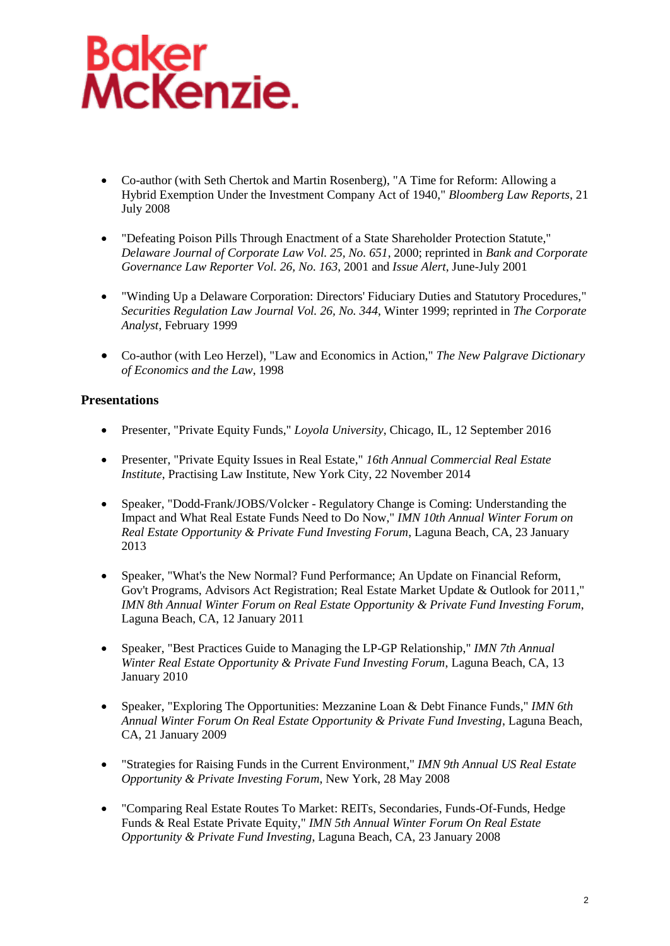# **Baker<br>McKenzie.**

- Co-author (with Seth Chertok and Martin Rosenberg), "A Time for Reform: Allowing a Hybrid Exemption Under the Investment Company Act of 1940," *Bloomberg Law Reports*, 21 July 2008
- "Defeating Poison Pills Through Enactment of a State Shareholder Protection Statute," *Delaware Journal of Corporate Law Vol. 25, No. 651*, 2000; reprinted in *Bank and Corporate Governance Law Reporter Vol. 26, No. 163*, 2001 and *Issue Alert*, June-July 2001
- "Winding Up a Delaware Corporation: Directors' Fiduciary Duties and Statutory Procedures," *Securities Regulation Law Journal Vol. 26, No. 344*, Winter 1999; reprinted in *The Corporate Analyst*, February 1999
- Co-author (with Leo Herzel), "Law and Economics in Action," *The New Palgrave Dictionary of Economics and the Law*, 1998

#### **Presentations**

- Presenter, "Private Equity Funds," *Loyola University*, Chicago, IL, 12 September 2016
- Presenter, "Private Equity Issues in Real Estate," *16th Annual Commercial Real Estate Institute*, Practising Law Institute, New York City, 22 November 2014
- Speaker, "Dodd-Frank/JOBS/Volcker Regulatory Change is Coming: Understanding the Impact and What Real Estate Funds Need to Do Now," *IMN 10th Annual Winter Forum on Real Estate Opportunity & Private Fund Investing Forum*, Laguna Beach, CA, 23 January 2013
- Speaker, "What's the New Normal? Fund Performance; An Update on Financial Reform, Gov't Programs, Advisors Act Registration; Real Estate Market Update & Outlook for 2011," *IMN 8th Annual Winter Forum on Real Estate Opportunity & Private Fund Investing Forum*, Laguna Beach, CA, 12 January 2011
- Speaker, "Best Practices Guide to Managing the LP-GP Relationship," *IMN 7th Annual Winter Real Estate Opportunity & Private Fund Investing Forum*, Laguna Beach, CA, 13 January 2010
- Speaker, "Exploring The Opportunities: Mezzanine Loan & Debt Finance Funds," *IMN 6th Annual Winter Forum On Real Estate Opportunity & Private Fund Investing*, Laguna Beach, CA, 21 January 2009
- "Strategies for Raising Funds in the Current Environment," *IMN 9th Annual US Real Estate Opportunity & Private Investing Forum*, New York, 28 May 2008
- "Comparing Real Estate Routes To Market: REITs, Secondaries, Funds-Of-Funds, Hedge Funds & Real Estate Private Equity," *IMN 5th Annual Winter Forum On Real Estate Opportunity & Private Fund Investing*, Laguna Beach, CA, 23 January 2008